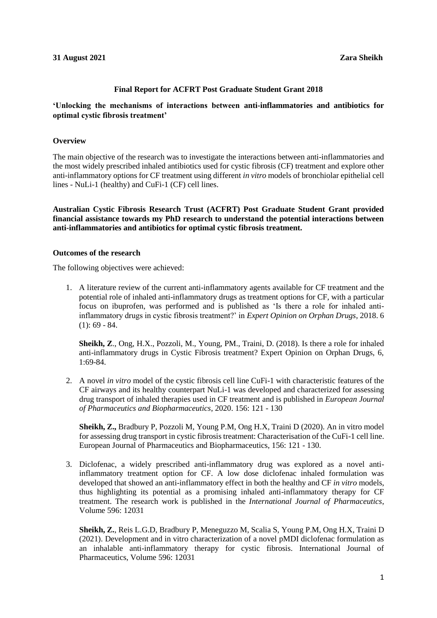#### **Final Report for ACFRT Post Graduate Student Grant 2018**

# **'Unlocking the mechanisms of interactions between anti-inflammatories and antibiotics for optimal cystic fibrosis treatment'**

### **Overview**

The main objective of the research was to investigate the interactions between anti-inflammatories and the most widely prescribed inhaled antibiotics used for cystic fibrosis (CF) treatment and explore other anti-inflammatory options for CF treatment using different *in vitro* models of bronchiolar epithelial cell lines - NuLi-1 (healthy) and CuFi-1 (CF) cell lines.

**Australian Cystic Fibrosis Research Trust (ACFRT) Post Graduate Student Grant provided financial assistance towards my PhD research to understand the potential interactions between anti-inflammatories and antibiotics for optimal cystic fibrosis treatment.**

#### **Outcomes of the research**

The following objectives were achieved:

1. A literature review of the current anti-inflammatory agents available for CF treatment and the potential role of inhaled anti-inflammatory drugs as treatment options for CF, with a particular focus on ibuprofen, was performed and is published as 'Is there a role for inhaled antiinflammatory drugs in cystic fibrosis treatment?' in *Expert Opinion on Orphan Drugs*, 2018. 6  $(1): 69 - 84.$ 

**Sheikh, Z**., Ong, H.X., Pozzoli, M., Young, PM., Traini, D. (2018). Is there a role for inhaled anti-inflammatory drugs in Cystic Fibrosis treatment? Expert Opinion on Orphan Drugs, 6, 1:69-84.

2. A novel *in vitro* model of the cystic fibrosis cell line CuFi-1 with characteristic features of the CF airways and its healthy counterpart NuLi-1 was developed and characterized for assessing drug transport of inhaled therapies used in CF treatment and is published in *European Journal of Pharmaceutics and Biopharmaceutics*, 2020. 156: 121 - 130

**Sheikh, Z.,** Bradbury P, Pozzoli M, Young P.M, Ong H.X, Traini D (2020). An in vitro model for assessing drug transport in cystic fibrosis treatment: Characterisation of the CuFi-1 cell line. European Journal of Pharmaceutics and Biopharmaceutics, 156: 121 - 130.

3. Diclofenac, a widely prescribed anti-inflammatory drug was explored as a novel antiinflammatory treatment option for CF. A low dose diclofenac inhaled formulation was developed that showed an anti-inflammatory effect in both the healthy and CF *in vitro* models, thus highlighting its potential as a promising inhaled anti-inflammatory therapy for CF treatment. The research work is published in the *International Journal of Pharmaceutics*, Volume 596: 12031

**Sheikh, Z.**, Reis L.G.D, Bradbury P, Meneguzzo M, Scalia S, Young P.M, Ong H.X, Traini D (2021). Development and in vitro characterization of a novel pMDI diclofenac formulation as an inhalable anti-inflammatory therapy for cystic fibrosis. International Journal of Pharmaceutics, Volume 596: 12031